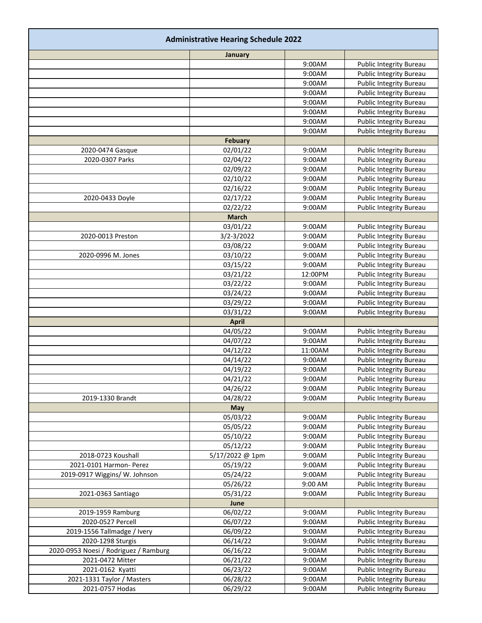| <b>Administrative Hearing Schedule 2022</b> |                      |                  |                                |  |
|---------------------------------------------|----------------------|------------------|--------------------------------|--|
|                                             | January              |                  |                                |  |
|                                             |                      | 9:00AM           | Public Integrity Bureau        |  |
|                                             |                      | 9:00AM           | Public Integrity Bureau        |  |
|                                             |                      | 9:00AM           | <b>Public Integrity Bureau</b> |  |
|                                             |                      | 9:00AM           | Public Integrity Bureau        |  |
|                                             |                      | 9:00AM           | Public Integrity Bureau        |  |
|                                             |                      | 9:00AM           | Public Integrity Bureau        |  |
|                                             |                      | 9:00AM           | Public Integrity Bureau        |  |
|                                             |                      | 9:00AM           | <b>Public Integrity Bureau</b> |  |
|                                             | <b>Febuary</b>       |                  |                                |  |
| 2020-0474 Gasque                            | 02/01/22             | 9:00AM           | Public Integrity Bureau        |  |
| 2020-0307 Parks                             | 02/04/22             | 9:00AM           | Public Integrity Bureau        |  |
|                                             | 02/09/22             | 9:00AM           | Public Integrity Bureau        |  |
|                                             | 02/10/22             | 9:00AM           | Public Integrity Bureau        |  |
|                                             | 02/16/22             | 9:00AM<br>9:00AM | <b>Public Integrity Bureau</b> |  |
| 2020-0433 Doyle                             | 02/17/22<br>02/22/22 | 9:00AM           | Public Integrity Bureau        |  |
|                                             | <b>March</b>         |                  | Public Integrity Bureau        |  |
|                                             | 03/01/22             | 9:00AM           | Public Integrity Bureau        |  |
| 2020-0013 Preston                           | 3/2-3/2022           | 9:00AM           | Public Integrity Bureau        |  |
|                                             | 03/08/22             | 9:00AM           | <b>Public Integrity Bureau</b> |  |
| 2020-0996 M. Jones                          | 03/10/22             | 9:00AM           | <b>Public Integrity Bureau</b> |  |
|                                             | 03/15/22             | 9:00AM           | Public Integrity Bureau        |  |
|                                             | 03/21/22             | 12:00PM          | <b>Public Integrity Bureau</b> |  |
|                                             | 03/22/22             | 9:00AM           | <b>Public Integrity Bureau</b> |  |
|                                             | 03/24/22             | 9:00AM           | <b>Public Integrity Bureau</b> |  |
|                                             | 03/29/22             | 9:00AM           | <b>Public Integrity Bureau</b> |  |
|                                             | 03/31/22             | 9:00AM           | Public Integrity Bureau        |  |
|                                             | <b>April</b>         |                  |                                |  |
|                                             | 04/05/22             | 9:00AM           | Public Integrity Bureau        |  |
|                                             | 04/07/22             | 9:00AM           | Public Integrity Bureau        |  |
|                                             | 04/12/22             | 11:00AM          | Public Integrity Bureau        |  |
|                                             | 04/14/22             | 9:00AM           | Public Integrity Bureau        |  |
|                                             | 04/19/22             | 9:00AM           | Public Integrity Bureau        |  |
|                                             | 04/21/22             | 9:00AM           | <b>Public Integrity Bureau</b> |  |
|                                             | 04/26/22             | 9:00AM           | Public Integrity Bureau        |  |
| 2019-1330 Brandt                            | 04/28/22             | 9:00AM           | Public Integrity Bureau        |  |
|                                             | May                  |                  |                                |  |
|                                             | 05/03/22             | 9:00AM           | Public Integrity Bureau        |  |
|                                             | 05/05/22             | 9:00AM           | Public Integrity Bureau        |  |
|                                             | 05/10/22             | 9:00AM           | Public Integrity Bureau        |  |
|                                             | 05/12/22             | 9:00AM           | <b>Public Integrity Bureau</b> |  |
| 2018-0723 Koushall                          | 5/17/2022 @ 1pm      | 9:00AM           | <b>Public Integrity Bureau</b> |  |
| 2021-0101 Harmon- Perez                     | 05/19/22             | 9:00AM           | <b>Public Integrity Bureau</b> |  |
| 2019-0917 Wiggins/ W. Johnson               | 05/24/22             | 9:00AM           | Public Integrity Bureau        |  |
|                                             | 05/26/22             | 9:00 AM          | <b>Public Integrity Bureau</b> |  |
| 2021-0363 Santiago                          | 05/31/22             | 9:00AM           | Public Integrity Bureau        |  |
|                                             | June                 |                  |                                |  |
| 2019-1959 Ramburg                           | 06/02/22             | 9:00AM           | Public Integrity Bureau        |  |
| 2020-0527 Percell                           | 06/07/22             | 9:00AM           | Public Integrity Bureau        |  |
| 2019-1556 Tallmadge / Ivery                 | 06/09/22             | 9:00AM           | Public Integrity Bureau        |  |
| 2020-1298 Sturgis                           | 06/14/22             | 9:00AM           | <b>Public Integrity Bureau</b> |  |
| 2020-0953 Noesi / Rodriguez / Ramburg       | 06/16/22             | 9:00AM           | Public Integrity Bureau        |  |
| 2021-0472 Mitter                            | 06/21/22             | 9:00AM           | Public Integrity Bureau        |  |
| 2021-0162 Kyatti                            | 06/23/22             | 9:00AM           | Public Integrity Bureau        |  |
| 2021-1331 Taylor / Masters                  | 06/28/22             | 9:00AM           | Public Integrity Bureau        |  |
| 2021-0757 Hodas                             | 06/29/22             | 9:00AM           | Public Integrity Bureau        |  |